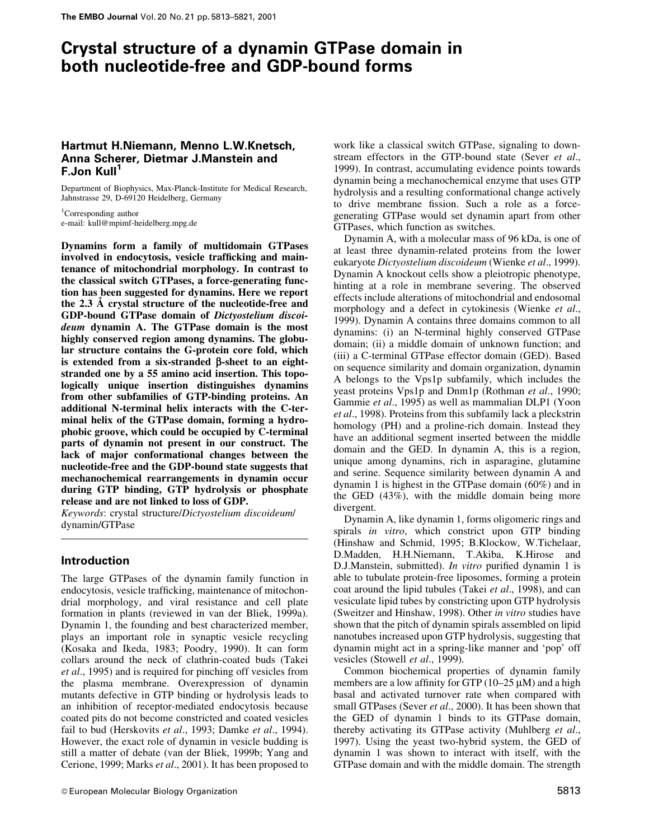# Crystal structure of a dynamin GTPase domain in both nucleotide-free and GDP-bound forms

### Hartmut H.Niemann, Menno L.W.Knetsch, Anna Scherer, Dietmar J.Manstein and F.Jon Kull<sup>1</sup>

Department of Biophysics, Max-Planck-Institute for Medical Research, Jahnstrasse 29, D-69120 Heidelberg, Germany

<sup>1</sup>Corresponding author e-mail: kull@mpimf-heidelberg.mpg.de

Dynamins form a family of multidomain GTPases involved in endocytosis, vesicle trafficking and maintenance of mitochondrial morphology. In contrast to the classical switch GTPases, a force-generating function has been suggested for dynamins. Here we report the  $2.3$   $\AA$  crystal structure of the nucleotide-free and GDP-bound GTPase domain of Dictyostelium discoideum dynamin A. The GTPase domain is the most highly conserved region among dynamins. The globular structure contains the G-protein core fold, which is extended from a six-stranded  $\beta$ -sheet to an eightstranded one by a 55 amino acid insertion. This topologically unique insertion distinguishes dynamins from other subfamilies of GTP-binding proteins. An additional N-terminal helix interacts with the C-terminal helix of the GTPase domain, forming a hydrophobic groove, which could be occupied by C-terminal parts of dynamin not present in our construct. The lack of major conformational changes between the nucleotide-free and the GDP-bound state suggests that mechanochemical rearrangements in dynamin occur during GTP binding, GTP hydrolysis or phosphate release and are not linked to loss of GDP.

Keywords: crystal structure/Dictyostelium discoideum/ dynamin/GTPase

### Introduction

The large GTPases of the dynamin family function in endocytosis, vesicle trafficking, maintenance of mitochondrial morphology, and viral resistance and cell plate formation in plants (reviewed in van der Bliek, 1999a). Dynamin 1, the founding and best characterized member, plays an important role in synaptic vesicle recycling (Kosaka and Ikeda, 1983; Poodry, 1990). It can form collars around the neck of clathrin-coated buds (Takei et al., 1995) and is required for pinching off vesicles from the plasma membrane. Overexpression of dynamin mutants defective in GTP binding or hydrolysis leads to an inhibition of receptor-mediated endocytosis because coated pits do not become constricted and coated vesicles fail to bud (Herskovits et al., 1993; Damke et al., 1994). However, the exact role of dynamin in vesicle budding is still a matter of debate (van der Bliek, 1999b; Yang and Cerione, 1999; Marks et al., 2001). It has been proposed to

work like a classical switch GTPase, signaling to downstream effectors in the GTP-bound state (Sever et al., 1999). In contrast, accumulating evidence points towards dynamin being a mechanochemical enzyme that uses GTP hydrolysis and a resulting conformational change actively to drive membrane fission. Such a role as a forcegenerating GTPase would set dynamin apart from other GTPases, which function as switches.

Dynamin A, with a molecular mass of 96 kDa, is one of at least three dynamin-related proteins from the lower eukaryote Dictyostelium discoideum (Wienke et al., 1999). Dynamin A knockout cells show a pleiotropic phenotype, hinting at a role in membrane severing. The observed effects include alterations of mitochondrial and endosomal morphology and a defect in cytokinesis (Wienke et al., 1999). Dynamin A contains three domains common to all dynamins: (i) an N-terminal highly conserved GTPase domain; (ii) a middle domain of unknown function; and (iii) a C-terminal GTPase effector domain (GED). Based on sequence similarity and domain organization, dynamin A belongs to the Vps1p subfamily, which includes the yeast proteins Vps1p and Dnm1p (Rothman et al., 1990; Gammie et al., 1995) as well as mammalian DLP1 (Yoon et al., 1998). Proteins from this subfamily lack a pleckstrin homology (PH) and a proline-rich domain. Instead they have an additional segment inserted between the middle domain and the GED. In dynamin A, this is a region, unique among dynamins, rich in asparagine, glutamine and serine. Sequence similarity between dynamin A and dynamin 1 is highest in the GTPase domain (60%) and in the GED (43%), with the middle domain being more divergent.

Dynamin A, like dynamin 1, forms oligomeric rings and spirals in vitro, which constrict upon GTP binding (Hinshaw and Schmid, 1995; B.Klockow, W.Tichelaar, D.Madden, H.H.Niemann, T.Akiba, K.Hirose and D.J.Manstein, submitted). *In vitro* purified dynamin 1 is able to tubulate protein-free liposomes, forming a protein coat around the lipid tubules (Takei et al., 1998), and can vesiculate lipid tubes by constricting upon GTP hydrolysis (Sweitzer and Hinshaw, 1998). Other in vitro studies have shown that the pitch of dynamin spirals assembled on lipid nanotubes increased upon GTP hydrolysis, suggesting that dynamin might act in a spring-like manner and `pop' off vesicles (Stowell et al., 1999).

Common biochemical properties of dynamin family members are a low affinity for GTP ( $10-25 \mu$ M) and a high basal and activated turnover rate when compared with small GTPases (Sever et al., 2000). It has been shown that the GED of dynamin 1 binds to its GTPase domain, thereby activating its GTPase activity (Muhlberg et al., 1997). Using the yeast two-hybrid system, the GED of dynamin 1 was shown to interact with itself, with the GTPase domain and with the middle domain. The strength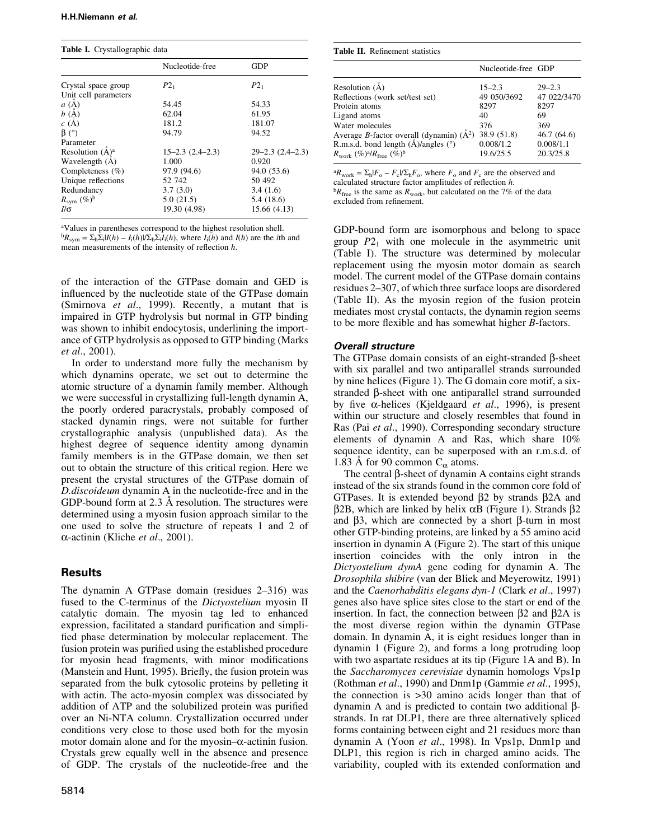Table I. Crystallographic data

|                            | Nucleotide-free          | <b>GDP</b>               |
|----------------------------|--------------------------|--------------------------|
| Crystal space group        | $P2_1$                   | $P2_1$                   |
| Unit cell parameters       |                          |                          |
| a(A)                       | 54.45                    | 54.33                    |
| b(A)                       | 62.04                    | 61.95                    |
| c(A)                       | 181.2                    | 181.07                   |
| $\beta$ (°)                | 94.79                    | 94.52                    |
| Parameter                  |                          |                          |
| Resolution $(\dot{A})^a$   | $15 - 2.3$ $(2.4 - 2.3)$ | $29 - 2.3$ $(2.4 - 2.3)$ |
| Wavelength (A)             | 1.000                    | 0.920                    |
| Completeness $(\% )$       | 97.9 (94.6)              | 94.0 (53.6)              |
| Unique reflections         | 52 742                   | 50 492                   |
| Redundancy                 | 3.7(3.0)                 | 3.4(1.6)                 |
| $R_{sym}$ (%) <sup>b</sup> | 5.0(21.5)                | 5.4 (18.6)               |
| I/σ                        | 19.30 (4.98)             | 15.66 (4.13)             |

aValues in parentheses correspond to the highest resolution shell.  ${}^{b}R_{\text{sym}} = \sum_{h} \sum_{i} |I(h) - I_{i}(h)| / \sum_{h} \sum_{i} I_{i}(h)$ , where  $I_{i}(h)$  and  $I(h)$  are the *i*th and mean measurements of the intensity of reflection  $h$ .

of the interaction of the GTPase domain and GED is influenced by the nucleotide state of the GTPase domain (Smirnova et al., 1999). Recently, a mutant that is impaired in GTP hydrolysis but normal in GTP binding was shown to inhibit endocytosis, underlining the importance of GTP hydrolysis as opposed to GTP binding (Marks et al., 2001).

In order to understand more fully the mechanism by which dynamins operate, we set out to determine the atomic structure of a dynamin family member. Although we were successful in crystallizing full-length dynamin A, the poorly ordered paracrystals, probably composed of stacked dynamin rings, were not suitable for further crystallographic analysis (unpublished data). As the highest degree of sequence identity among dynamin family members is in the GTPase domain, we then set out to obtain the structure of this critical region. Here we present the crystal structures of the GTPase domain of D.discoideum dynamin A in the nucleotide-free and in the GDP-bound form at  $2.3 \text{ Å}$  resolution. The structures were determined using a myosin fusion approach similar to the one used to solve the structure of repeats 1 and 2 of  $\alpha$ -actinin (Kliche et al., 2001).

### Results

The dynamin A GTPase domain (residues  $2-316$ ) was fused to the C-terminus of the Dictyostelium myosin II catalytic domain. The myosin tag led to enhanced expression, facilitated a standard purification and simplified phase determination by molecular replacement. The fusion protein was purified using the established procedure for myosin head fragments, with minor modifications (Manstein and Hunt, 1995). Briefly, the fusion protein was separated from the bulk cytosolic proteins by pelleting it with actin. The acto-myosin complex was dissociated by addition of ATP and the solubilized protein was purified over an Ni-NTA column. Crystallization occurred under conditions very close to those used both for the myosin motor domain alone and for the myosin $-\alpha$ -actinin fusion. Crystals grew equally well in the absence and presence of GDP. The crystals of the nucleotide-free and the

| <b>Table 11.</b> Indifficition statistics                         |                     |             |  |
|-------------------------------------------------------------------|---------------------|-------------|--|
|                                                                   | Nucleotide-free GDP |             |  |
| Resolution $(\dot{A})$                                            | $15 - 2.3$          | $29 - 2.3$  |  |
| Reflections (work set/test set)                                   | 49 050/3692         | 47 022/3470 |  |
| Protein atoms                                                     | 8297                | 8297        |  |
| Ligand atoms                                                      | 40                  | 69          |  |
| Water molecules                                                   | 376                 | 369         |  |
| Average <i>B</i> -factor overall (dynamin) $(\AA^2)$ 38.9 (51.8)  |                     | 46.7(64.6)  |  |
| R.m.s.d. bond length $(\text{\AA})$ /angles $(^\circ)$            | 0.008/1.2           | 0.008/1.1   |  |
| $R_{\rm work}$ (%) <sup>a</sup> / $R_{\rm free}$ (%) <sup>b</sup> | 19.6/25.5           | 20.3/25.8   |  |
|                                                                   |                     |             |  |

 ${}^{a}R_{\text{work}} = \sum_{h} |F_{o} - F_{c}| / \sum_{h} F_{o}$ , where  $F_{o}$  and  $F_{c}$  are the observed and calculated structure factor amplitudes of reflection  $h$ .  ${}^{b}R_{\text{free}}$  is the same as  $R_{\text{work}}$ , but calculated on the 7% of the data

excluded from refinement.

Table II. Refinement statistics

GDP-bound form are isomorphous and belong to space group  $P_1$  with one molecule in the asymmetric unit (Table I). The structure was determined by molecular replacement using the myosin motor domain as search model. The current model of the GTPase domain contains residues 2–307, of which three surface loops are disordered (Table II). As the myosin region of the fusion protein mediates most crystal contacts, the dynamin region seems to be more flexible and has somewhat higher  $B$ -factors.

### Overall structure

The GTPase domain consists of an eight-stranded  $\beta$ -sheet with six parallel and two antiparallel strands surrounded by nine helices (Figure 1). The G domain core motif, a sixstranded  $\beta$ -sheet with one antiparallel strand surrounded by five  $\alpha$ -helices (Kjeldgaard *et al.*, 1996), is present within our structure and closely resembles that found in Ras (Pai et al., 1990). Corresponding secondary structure elements of dynamin A and Ras, which share 10% sequence identity, can be superposed with an r.m.s.d. of 1.83 Å for 90 common  $C_{\alpha}$  atoms.

The central  $\beta$ -sheet of dynamin A contains eight strands instead of the six strands found in the common core fold of GTPases. It is extended beyond  $\beta$ 2 by strands  $\beta$ 2A and  $\beta$ 2B, which are linked by helix  $\alpha$ B (Figure 1). Strands  $\beta$ 2 and  $\beta$ 3, which are connected by a short  $\beta$ -turn in most other GTP-binding proteins, are linked by a 55 amino acid insertion in dynamin A (Figure 2). The start of this unique insertion coincides with the only intron in the Dictyostelium dymA gene coding for dynamin A. The Drosophila shibire (van der Bliek and Meyerowitz, 1991) and the Caenorhabditis elegans dyn-1 (Clark et al., 1997) genes also have splice sites close to the start or end of the insertion. In fact, the connection between  $\beta$ 2 and  $\beta$ 2A is the most diverse region within the dynamin GTPase domain. In dynamin A, it is eight residues longer than in dynamin 1 (Figure 2), and forms a long protruding loop with two aspartate residues at its tip (Figure 1A and B). In the Saccharomyces cerevisiae dynamin homologs Vps1p (Rothman et al., 1990) and Dnm1p (Gammie et al., 1995), the connection is >30 amino acids longer than that of dynamin A and is predicted to contain two additional  $\beta$ strands. In rat DLP1, there are three alternatively spliced forms containing between eight and 21 residues more than dynamin A (Yoon et al., 1998). In Vps1p, Dnm1p and DLP1, this region is rich in charged amino acids. The variability, coupled with its extended conformation and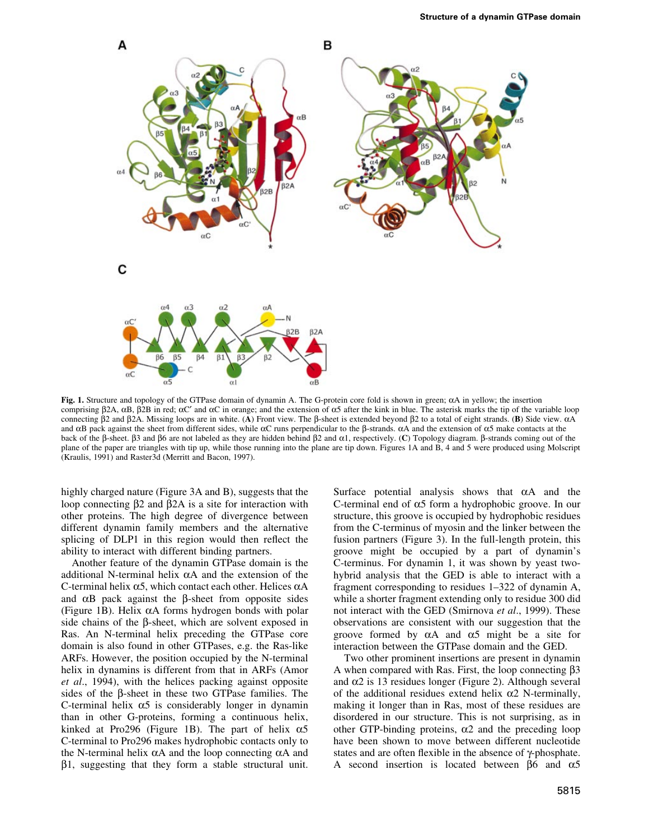

Fig. 1. Structure and topology of the GTPase domain of dynamin A. The G-protein core fold is shown in green;  $\alpha A$  in yellow; the insertion comprising  $\beta$ 2A,  $\alpha$ B,  $\beta$ 2B in red;  $\alpha$ C' and  $\alpha$ C in orange; and the extension of  $\alpha$ 5 after the kink in blue. The asterisk marks the tip of the variable loop connecting  $\beta$ 2 and  $\beta$ 2A. Missing loops are in white. (A) Front view. The  $\beta$ -sheet is extended beyond  $\beta$ 2 to a total of eight strands. (B) Side view.  $\alpha$ A and  $\alpha$ B pack against the sheet from different sides, while  $\alpha$ C runs perpendicular to the  $\beta$ -strands.  $\alpha$ A and the extension of  $\alpha$ 5 make contacts at the back of the  $\beta$ -sheet.  $\beta$ 3 and  $\beta$ 6 are not labeled as they are hidden behind  $\beta$ 2 and  $\alpha$ 1, respectively. (C) Topology diagram.  $\beta$ -strands coming out of the plane of the paper are triangles with tip up, while those running into the plane are tip down. Figures 1A and B, 4 and 5 were produced using Molscript (Kraulis, 1991) and Raster3d (Merritt and Bacon, 1997).

highly charged nature (Figure 3A and B), suggests that the loop connecting  $\beta$ 2 and  $\beta$ 2A is a site for interaction with other proteins. The high degree of divergence between different dynamin family members and the alternative splicing of DLP1 in this region would then reflect the ability to interact with different binding partners.

Another feature of the dynamin GTPase domain is the additional N-terminal helix  $\alpha A$  and the extension of the C-terminal helix  $\alpha$ 5, which contact each other. Helices  $\alpha$ A and  $\alpha$ B pack against the  $\beta$ -sheet from opposite sides (Figure 1B). Helix  $\alpha A$  forms hydrogen bonds with polar side chains of the  $\beta$ -sheet, which are solvent exposed in Ras. An N-terminal helix preceding the GTPase core domain is also found in other GTPases, e.g. the Ras-like ARFs. However, the position occupied by the N-terminal helix in dynamins is different from that in ARFs (Amor et al., 1994), with the helices packing against opposite sides of the  $\beta$ -sheet in these two GTPase families. The C-terminal helix  $\alpha$ 5 is considerably longer in dynamin than in other G-proteins, forming a continuous helix, kinked at Pro296 (Figure 1B). The part of helix  $\alpha$ 5 C-terminal to Pro296 makes hydrophobic contacts only to the N-terminal helix  $\alpha A$  and the loop connecting  $\alpha A$  and  $\beta$ 1, suggesting that they form a stable structural unit. Surface potential analysis shows that  $\alpha A$  and the C-terminal end of  $\alpha$ 5 form a hydrophobic groove. In our structure, this groove is occupied by hydrophobic residues from the C-terminus of myosin and the linker between the fusion partners (Figure 3). In the full-length protein, this groove might be occupied by a part of dynamin's C-terminus. For dynamin 1, it was shown by yeast twohybrid analysis that the GED is able to interact with a fragment corresponding to residues  $1-322$  of dynamin A, while a shorter fragment extending only to residue 300 did not interact with the GED (Smirnova et al., 1999). These observations are consistent with our suggestion that the groove formed by  $\alpha A$  and  $\alpha 5$  might be a site for interaction between the GTPase domain and the GED.

Two other prominent insertions are present in dynamin A when compared with Ras. First, the loop connecting  $\beta$ 3 and  $\alpha$ 2 is 13 residues longer (Figure 2). Although several of the additional residues extend helix  $\alpha$ 2 N-terminally, making it longer than in Ras, most of these residues are disordered in our structure. This is not surprising, as in other GTP-binding proteins,  $\alpha$ 2 and the preceding loop have been shown to move between different nucleotide states and are often flexible in the absence of  $\gamma$ -phosphate. A second insertion is located between  $\beta$ 6 and  $\alpha$ 5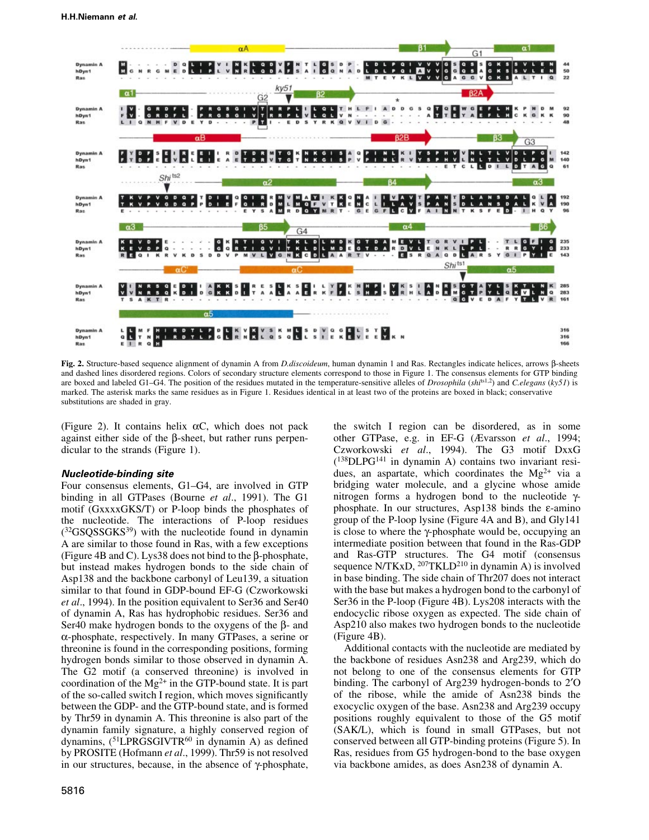

Fig. 2. Structure-based sequence alignment of dynamin A from D.discoideum, human dynamin 1 and Ras. Rectangles indicate helices, arrows b-sheets and dashed lines disordered regions. Colors of secondary structure elements correspond to those in Figure 1. The consensus elements for GTP binding are boxed and labeled G1-G4. The position of the residues mutated in the temperature-sensitive alleles of *Drosophila* (shi<sup>ts1,2</sup>) and C.elegans (ky51) is marked. The asterisk marks the same residues as in Figure 1. Residues identical in at least two of the proteins are boxed in black; conservative substitutions are shaded in gray.

(Figure 2). It contains helix  $\alpha C$ , which does not pack against either side of the  $\beta$ -sheet, but rather runs perpendicular to the strands (Figure 1).

#### Nucleotide-binding site

Four consensus elements, G1–G4, are involved in GTP binding in all GTPases (Bourne *et al.*, 1991). The G1 motif (GxxxxGKS/T) or P-loop binds the phosphates of the nucleotide. The interactions of P-loop residues  $(^{32}GSOSSGKS^{39})$  with the nucleotide found in dynamin A are similar to those found in Ras, with a few exceptions (Figure 4B and C). Lys38 does not bind to the  $\beta$ -phosphate, but instead makes hydrogen bonds to the side chain of Asp138 and the backbone carbonyl of Leu139, a situation similar to that found in GDP-bound EF-G (Czworkowski et al., 1994). In the position equivalent to Ser36 and Ser40 of dynamin A, Ras has hydrophobic residues. Ser36 and Ser40 make hydrogen bonds to the oxygens of the  $\beta$ - and  $\alpha$ -phosphate, respectively. In many GTPases, a serine or threonine is found in the corresponding positions, forming hydrogen bonds similar to those observed in dynamin A. The G2 motif (a conserved threonine) is involved in coordination of the  $Mg^{2+}$  in the GTP-bound state. It is part of the so-called switch I region, which moves significantly between the GDP- and the GTP-bound state, and is formed by Thr59 in dynamin A. This threonine is also part of the dynamin family signature, a highly conserved region of dynamins,  $(^{51}LPRGSGIVTR^{60}$  in dynamin A) as defined by PROSITE (Hofmann et al., 1999). Thr59 is not resolved in our structures, because, in the absence of  $\gamma$ -phosphate,

the switch I region can be disordered, as in some other GTPase, e.g. in EF-G (Ævarsson et al., 1994; Czworkowski et al., 1994). The G3 motif DxxG  $(^{138}$ DLPG<sup>141</sup> in dynamin A) contains two invariant residues, an aspartate, which coordinates the  $Mg^{2+}$  via a bridging water molecule, and a glycine whose amide nitrogen forms a hydrogen bond to the nucleotide  $\gamma$ phosphate. In our structures, Asp138 binds the  $\varepsilon$ -amino group of the P-loop lysine (Figure 4A and B), and Gly141 is close to where the  $\gamma$ -phosphate would be, occupying an intermediate position between that found in the Ras-GDP and Ras-GTP structures. The G4 motif (consensus sequence N/TKxD,  $^{207}$ TKLD<sup>210</sup> in dynamin A) is involved in base binding. The side chain of Thr207 does not interact with the base but makes a hydrogen bond to the carbonyl of Ser36 in the P-loop (Figure 4B). Lys208 interacts with the endocyclic ribose oxygen as expected. The side chain of Asp210 also makes two hydrogen bonds to the nucleotide (Figure 4B).

Additional contacts with the nucleotide are mediated by the backbone of residues Asn238 and Arg239, which do not belong to one of the consensus elements for GTP binding. The carbonyl of Arg239 hydrogen-bonds to 2'O of the ribose, while the amide of Asn238 binds the exocyclic oxygen of the base. Asn238 and Arg239 occupy positions roughly equivalent to those of the G5 motif (SAK/L), which is found in small GTPases, but not conserved between all GTP-binding proteins (Figure 5). In Ras, residues from G5 hydrogen-bond to the base oxygen via backbone amides, as does Asn238 of dynamin A.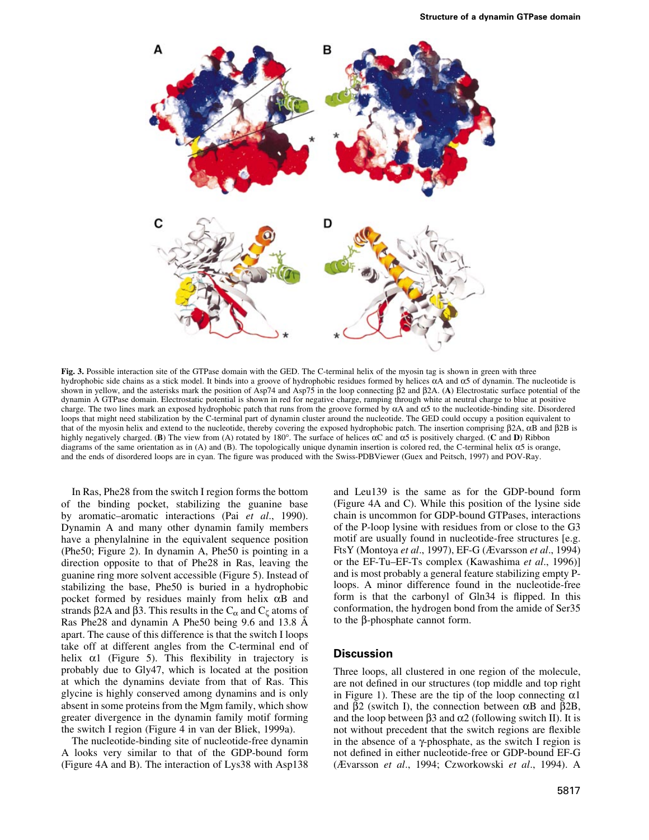

Fig. 3. Possible interaction site of the GTPase domain with the GED. The C-terminal helix of the myosin tag is shown in green with three hydrophobic side chains as a stick model. It binds into a groove of hydrophobic residues formed by helices aA and a5 of dynamin. The nucleotide is shown in yellow, and the asterisks mark the position of Asp74 and Asp75 in the loop connecting  $\beta$ 2 and  $\beta$ 2A. (A) Electrostatic surface potential of the dynamin A GTPase domain. Electrostatic potential is shown in red for negative charge, ramping through white at neutral charge to blue at positive charge. The two lines mark an exposed hydrophobic patch that runs from the groove formed by  $\alpha A$  and  $\alpha 5$  to the nucleotide-binding site. Disordered loops that might need stabilization by the C-terminal part of dynamin cluster around the nucleotide. The GED could occupy a position equivalent to that of the myosin helix and extend to the nucleotide, thereby covering the exposed hydrophobic patch. The insertion comprising  $\beta$ 2A,  $\alpha$ B and  $\beta$ 2B is highly negatively charged. (B) The view from (A) rotated by 180°. The surface of helices  $\alpha$ C and  $\alpha$ 5 is positively charged. (C and D) Ribbon diagrams of the same orientation as in (A) and (B). The topologically unique dynamin insertion is colored red, the C-terminal helix a5 is orange, and the ends of disordered loops are in cyan. The figure was produced with the Swiss-PDBViewer (Guex and Peitsch, 1997) and POV-Ray.

In Ras, Phe28 from the switch I region forms the bottom of the binding pocket, stabilizing the guanine base by aromatic-aromatic interactions (Pai et al., 1990). Dynamin A and many other dynamin family members have a phenylalnine in the equivalent sequence position (Phe50; Figure 2). In dynamin A, Phe50 is pointing in a direction opposite to that of Phe28 in Ras, leaving the guanine ring more solvent accessible (Figure 5). Instead of stabilizing the base, Phe50 is buried in a hydrophobic pocket formed by residues mainly from helix  $\alpha$ B and strands  $\beta$ 2A and  $\beta$ 3. This results in the C<sub> $\alpha$ </sub> and C<sub> $\zeta$ </sub> atoms of Ras Phe28 and dynamin A Phe50 being 9.6 and 13.8 Å apart. The cause of this difference is that the switch I loops take off at different angles from the C-terminal end of helix  $\alpha$ 1 (Figure 5). This flexibility in trajectory is probably due to Gly47, which is located at the position at which the dynamins deviate from that of Ras. This glycine is highly conserved among dynamins and is only absent in some proteins from the Mgm family, which show greater divergence in the dynamin family motif forming the switch I region (Figure 4 in van der Bliek, 1999a).

The nucleotide-binding site of nucleotide-free dynamin A looks very similar to that of the GDP-bound form (Figure 4A and B). The interaction of Lys38 with Asp138 and Leu139 is the same as for the GDP-bound form (Figure 4A and C). While this position of the lysine side chain is uncommon for GDP-bound GTPases, interactions of the P-loop lysine with residues from or close to the G3 motif are usually found in nucleotide-free structures [e.g. FtsY (Montoya et al., 1997), EF-G (Ævarsson et al., 1994) or the EF-Tu-EF-Ts complex (Kawashima *et al.*, 1996)] and is most probably a general feature stabilizing empty Ploops. A minor difference found in the nucleotide-free form is that the carbonyl of Gln34 is flipped. In this conformation, the hydrogen bond from the amide of Ser35 to the  $\beta$ -phosphate cannot form.

### **Discussion**

Three loops, all clustered in one region of the molecule, are not defined in our structures (top middle and top right in Figure 1). These are the tip of the loop connecting  $\alpha$ 1 and  $\beta$ 2 (switch I), the connection between  $\alpha$ B and  $\beta$ 2B, and the loop between  $\beta$ 3 and  $\alpha$ 2 (following switch II). It is not without precedent that the switch regions are flexible in the absence of a  $\gamma$ -phosphate, as the switch I region is not defined in either nucleotide-free or GDP-bound EF-G (Ævarsson et al., 1994; Czworkowski et al., 1994). A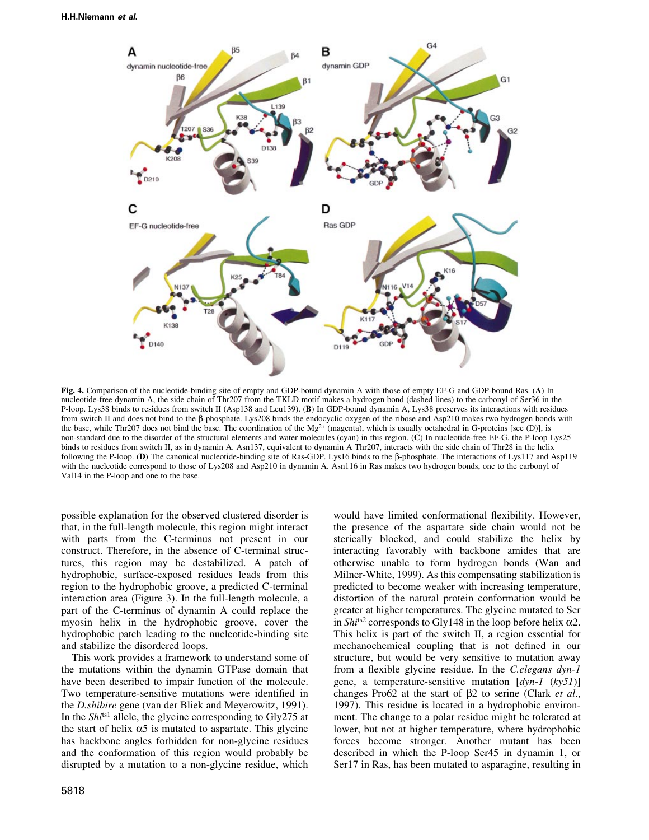

Fig. 4. Comparison of the nucleotide-binding site of empty and GDP-bound dynamin A with those of empty EF-G and GDP-bound Ras. (A) In nucleotide-free dynamin A, the side chain of Thr207 from the TKLD motif makes a hydrogen bond (dashed lines) to the carbonyl of Ser36 in the P-loop. Lys38 binds to residues from switch II (Asp138 and Leu139). (B) In GDP-bound dynamin A, Lys38 preserves its interactions with residues from switch II and does not bind to the  $\beta$ -phosphate. Lys208 binds the endocyclic oxygen of the ribose and Asp210 makes two hydrogen bonds with the base, while Thr207 does not bind the base. The coordination of the  $Mg^{2+}$  (magenta), which is usually octahedral in G-proteins [see (D)], is non-standard due to the disorder of the structural elements and water molecules (cyan) in this region. (C) In nucleotide-free EF-G, the P-loop Lys25 binds to residues from switch II, as in dynamin A. Asn137, equivalent to dynamin A Thr207, interacts with the side chain of Thr28 in the helix following the P-loop. (D) The canonical nucleotide-binding site of Ras-GDP. Lys16 binds to the  $\beta$ -phosphate. The interactions of Lys117 and Asp119 with the nucleotide correspond to those of Lys208 and Asp210 in dynamin A. Asn116 in Ras makes two hydrogen bonds, one to the carbonyl of Val14 in the P-loop and one to the base.

possible explanation for the observed clustered disorder is that, in the full-length molecule, this region might interact with parts from the C-terminus not present in our construct. Therefore, in the absence of C-terminal structures, this region may be destabilized. A patch of hydrophobic, surface-exposed residues leads from this region to the hydrophobic groove, a predicted C-terminal interaction area (Figure 3). In the full-length molecule, a part of the C-terminus of dynamin A could replace the myosin helix in the hydrophobic groove, cover the hydrophobic patch leading to the nucleotide-binding site and stabilize the disordered loops.

This work provides a framework to understand some of the mutations within the dynamin GTPase domain that have been described to impair function of the molecule. Two temperature-sensitive mutations were identified in the D.shibire gene (van der Bliek and Meyerowitz, 1991). In the  $\textit{Shi}^{\text{ts1}}$  allele, the glycine corresponding to Gly275 at the start of helix  $\alpha$ 5 is mutated to aspartate. This glycine has backbone angles forbidden for non-glycine residues and the conformation of this region would probably be disrupted by a mutation to a non-glycine residue, which would have limited conformational flexibility. However, the presence of the aspartate side chain would not be sterically blocked, and could stabilize the helix by interacting favorably with backbone amides that are otherwise unable to form hydrogen bonds (Wan and Milner-White, 1999). As this compensating stabilization is predicted to become weaker with increasing temperature, distortion of the natural protein conformation would be greater at higher temperatures. The glycine mutated to Ser in Shi<sup>ts2</sup> corresponds to Gly148 in the loop before helix  $\alpha$ 2. This helix is part of the switch II, a region essential for mechanochemical coupling that is not defined in our structure, but would be very sensitive to mutation away from a flexible glycine residue. In the C.elegans  $dyn-1$ gene, a temperature-sensitive mutation  $[dyn-1 (ky51)]$ changes Pro62 at the start of  $\beta$ 2 to serine (Clark *et al.*, 1997). This residue is located in a hydrophobic environment. The change to a polar residue might be tolerated at lower, but not at higher temperature, where hydrophobic forces become stronger. Another mutant has been described in which the P-loop Ser45 in dynamin 1, or Ser17 in Ras, has been mutated to asparagine, resulting in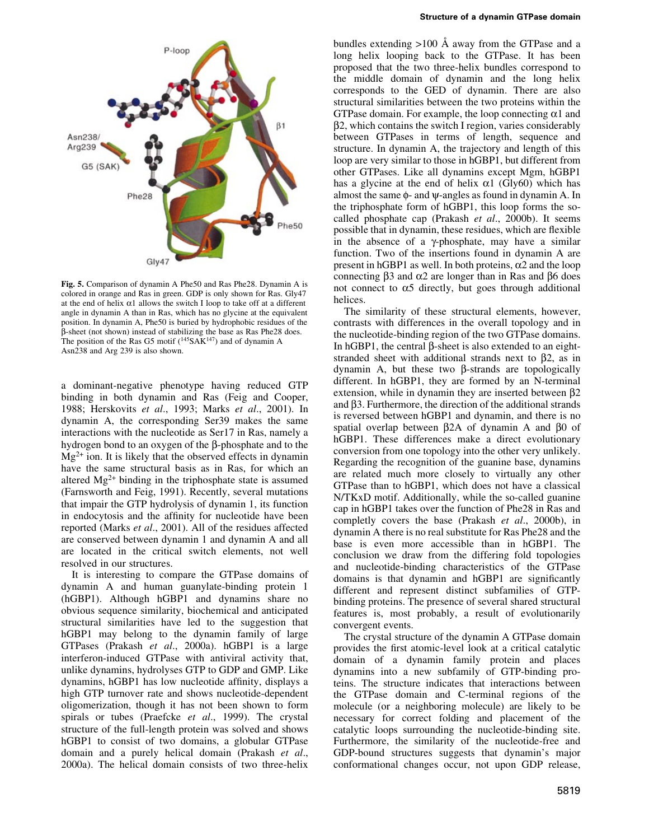

Fig. 5. Comparison of dynamin A Phe50 and Ras Phe28. Dynamin A is colored in orange and Ras in green. GDP is only shown for Ras. Gly47 at the end of helix  $\alpha$ 1 allows the switch I loop to take off at a different angle in dynamin A than in Ras, which has no glycine at the equivalent position. In dynamin A, Phe50 is buried by hydrophobic residues of the b-sheet (not shown) instead of stabilizing the base as Ras Phe28 does. The position of the Ras G5 motif  $(^{145}SAK^{147})$  and of dynamin A Asn238 and Arg 239 is also shown.

a dominant-negative phenotype having reduced GTP binding in both dynamin and Ras (Feig and Cooper, 1988; Herskovits et al., 1993; Marks et al., 2001). In dynamin A, the corresponding Ser39 makes the same interactions with the nucleotide as Ser17 in Ras, namely a hydrogen bond to an oxygen of the  $\beta$ -phosphate and to the  $Mg^{2+}$  ion. It is likely that the observed effects in dynamin have the same structural basis as in Ras, for which an altered  $Mg^{2+}$  binding in the triphosphate state is assumed (Farnsworth and Feig, 1991). Recently, several mutations that impair the GTP hydrolysis of dynamin 1, its function in endocytosis and the affinity for nucleotide have been reported (Marks et al., 2001). All of the residues affected are conserved between dynamin 1 and dynamin A and all are located in the critical switch elements, not well resolved in our structures.

It is interesting to compare the GTPase domains of dynamin A and human guanylate-binding protein 1 (hGBP1). Although hGBP1 and dynamins share no obvious sequence similarity, biochemical and anticipated structural similarities have led to the suggestion that hGBP1 may belong to the dynamin family of large GTPases (Prakash et al., 2000a). hGBP1 is a large interferon-induced GTPase with antiviral activity that, unlike dynamins, hydrolyses GTP to GDP and GMP. Like dynamins, hGBP1 has low nucleotide affinity, displays a high GTP turnover rate and shows nucleotide-dependent oligomerization, though it has not been shown to form spirals or tubes (Praefcke et al., 1999). The crystal structure of the full-length protein was solved and shows hGBP1 to consist of two domains, a globular GTPase domain and a purely helical domain (Prakash et al., 2000a). The helical domain consists of two three-helix

bundles extending  $>100$  Å away from the GTPase and a long helix looping back to the GTPase. It has been proposed that the two three-helix bundles correspond to the middle domain of dynamin and the long helix corresponds to the GED of dynamin. There are also structural similarities between the two proteins within the GTPase domain. For example, the loop connecting  $\alpha$ 1 and  $\beta$ 2, which contains the switch I region, varies considerably between GTPases in terms of length, sequence and structure. In dynamin A, the trajectory and length of this loop are very similar to those in hGBP1, but different from other GTPases. Like all dynamins except Mgm, hGBP1 has a glycine at the end of helix  $\alpha$ 1 (Gly60) which has almost the same  $\phi$ - and  $\psi$ -angles as found in dynamin A. In the triphosphate form of hGBP1, this loop forms the socalled phosphate cap (Prakash et al., 2000b). It seems possible that in dynamin, these residues, which are flexible in the absence of a  $\gamma$ -phosphate, may have a similar function. Two of the insertions found in dynamin A are present in hGBP1 as well. In both proteins,  $\alpha$ 2 and the loop connecting  $\beta$ 3 and  $\alpha$ 2 are longer than in Ras and  $\beta$ 6 does not connect to  $\alpha$ 5 directly, but goes through additional helices.

The similarity of these structural elements, however, contrasts with differences in the overall topology and in the nucleotide-binding region of the two GTPase domains. In hGBP1, the central  $\beta$ -sheet is also extended to an eightstranded sheet with additional strands next to  $\beta$ 2, as in dynamin A, but these two  $\beta$ -strands are topologically different. In hGBP1, they are formed by an N-terminal extension, while in dynamin they are inserted between  $\beta$ 2 and  $\beta$ 3. Furthermore, the direction of the additional strands is reversed between hGBP1 and dynamin, and there is no spatial overlap between  $\beta$ 2A of dynamin A and  $\beta$ 0 of hGBP1. These differences make a direct evolutionary conversion from one topology into the other very unlikely. Regarding the recognition of the guanine base, dynamins are related much more closely to virtually any other GTPase than to hGBP1, which does not have a classical N/TKxD motif. Additionally, while the so-called guanine cap in hGBP1 takes over the function of Phe28 in Ras and completly covers the base (Prakash et al., 2000b), in dynamin A there is no real substitute for Ras Phe28 and the base is even more accessible than in hGBP1. The conclusion we draw from the differing fold topologies and nucleotide-binding characteristics of the GTPase domains is that dynamin and hGBP1 are significantly different and represent distinct subfamilies of GTPbinding proteins. The presence of several shared structural features is, most probably, a result of evolutionarily convergent events.

The crystal structure of the dynamin A GTPase domain provides the first atomic-level look at a critical catalytic domain of a dynamin family protein and places dynamins into a new subfamily of GTP-binding proteins. The structure indicates that interactions between the GTPase domain and C-terminal regions of the molecule (or a neighboring molecule) are likely to be necessary for correct folding and placement of the catalytic loops surrounding the nucleotide-binding site. Furthermore, the similarity of the nucleotide-free and GDP-bound structures suggests that dynamin's major conformational changes occur, not upon GDP release,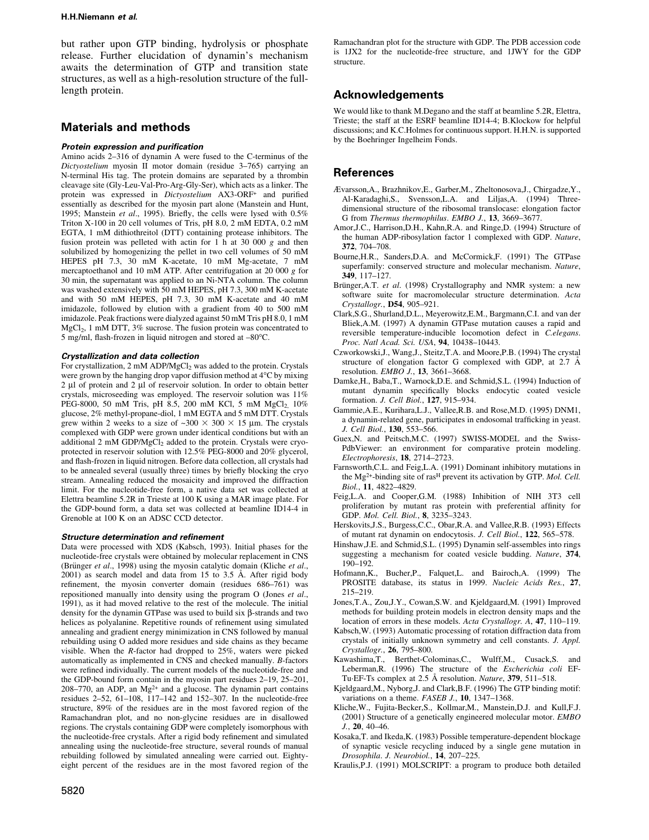#### H.H.Niemann et al.

but rather upon GTP binding, hydrolysis or phosphate release. Further elucidation of dynamin's mechanism awaits the determination of GTP and transition state structures, as well as a high-resolution structure of the fulllength protein.

## Materials and methods

#### Protein expression and purification

Amino acids 2-316 of dynamin A were fused to the C-terminus of the Dictyostelium myosin II motor domain (residue 3-765) carrying an N-terminal His tag. The protein domains are separated by a thrombin cleavage site (Gly-Leu-Val-Pro-Arg-Gly-Ser), which acts as a linker. The protein was expressed in Dictyostelium AX3-ORF+ and purified essentially as described for the myosin part alone (Manstein and Hunt, 1995; Manstein et al., 1995). Briefly, the cells were lysed with  $0.5\%$ Triton X-100 in 20 cell volumes of Tris, pH 8.0, 2 mM EDTA, 0.2 mM EGTA, 1 mM dithiothreitol (DTT) containing protease inhibitors. The fusion protein was pelleted with actin for 1 h at 30 000 g and then solubilized by homogenizing the pellet in two cell volumes of 50 mM HEPES pH 7.3, 30 mM K-acetate, 10 mM Mg-acetate, 7 mM mercaptoethanol and 10 mM ATP. After centrifugation at 20 000 g for 30 min, the supernatant was applied to an Ni-NTA column. The column was washed extensively with 50 mM HEPES, pH 7.3, 300 mM K-acetate and with 50 mM HEPES, pH 7.3, 30 mM K-acetate and 40 mM imidazole, followed by elution with a gradient from 40 to 500 mM imidazole. Peak fractions were dialyzed against 50 mM Tris pH 8.0, 1 mM  $MgCl<sub>2</sub>$ , 1 mM DTT, 3% sucrose. The fusion protein was concentrated to 5 mg/ml, flash-frozen in liquid nitrogen and stored at  $-80^{\circ}$ C.

#### Crystallization and data collection

For crystallization, 2 mM ADP/MgCl<sub>2</sub> was added to the protein. Crystals were grown by the hanging drop vapor diffusion method at 4°C by mixing  $2 \mu$ l of protein and  $2 \mu$ l of reservoir solution. In order to obtain better crystals, microseeding was employed. The reservoir solution was 11% PEG-8000, 50 mM Tris, pH 8.5, 200 mM KCl, 5 mM MgCl<sub>2</sub>, 10% glucose, 2% methyl-propane-diol, 1 mM EGTA and 5 mM DTT. Crystals grew within 2 weeks to a size of  $-300 \times 300 \times 15$  µm. The crystals complexed with GDP were grown under identical conditions but with an additional 2 mM GDP/MgCl<sub>2</sub> added to the protein. Crystals were cryoprotected in reservoir solution with 12.5% PEG-8000 and 20% glycerol, and flash-frozen in liquid nitrogen. Before data collection, all crystals had to be annealed several (usually three) times by briefly blocking the cryo stream. Annealing reduced the mosaicity and improved the diffraction limit. For the nucleotide-free form, a native data set was collected at Elettra beamline 5.2R in Trieste at 100 K using a MAR image plate. For the GDP-bound form, a data set was collected at beamline ID14-4 in Grenoble at 100 K on an ADSC CCD detector.

#### Structure determination and refinement

Data were processed with XDS (Kabsch, 1993). Initial phases for the nucleotide-free crystals were obtained by molecular replacement in CNS (Brünger et al., 1998) using the myosin catalytic domain (Kliche et al.,  $2001$ ) as search model and data from 15 to 3.5 Å. After rigid body refinement, the myosin converter domain (residues 686-761) was repositioned manually into density using the program O (Jones et al., 1991), as it had moved relative to the rest of the molecule. The initial density for the dynamin GTPase was used to build six  $\beta$ -strands and two helices as polyalanine. Repetitive rounds of refinement using simulated annealing and gradient energy minimization in CNS followed by manual rebuilding using O added more residues and side chains as they became visible. When the R-factor had dropped to 25%, waters were picked automatically as implemented in CNS and checked manually. B-factors were refined individually. The current models of the nucleotide-free and the GDP-bound form contain in the myosin part residues  $2-19$ ,  $25-201$ , 208-770, an ADP, an  $Mg^{2+}$  and a glucose. The dynamin part contains residues 2-52, 61-108, 117-142 and 152-307. In the nucleotide-free structure, 89% of the residues are in the most favored region of the Ramachandran plot, and no non-glycine residues are in disallowed regions. The crystals containing GDP were completely isomorphous with the nucleotide-free crystals. After a rigid body refinement and simulated annealing using the nucleotide-free structure, several rounds of manual rebuilding followed by simulated annealing were carried out. Eightyeight percent of the residues are in the most favored region of the Ramachandran plot for the structure with GDP. The PDB accession code is 1JX2 for the nucleotide-free structure, and 1JWY for the GDP structure.

# Acknowledgements

We would like to thank M.Degano and the staff at beamline 5.2R, Elettra, Trieste; the staff at the ESRF beamline ID14-4; B.Klockow for helpful discussions; and K.C.Holmes for continuous support. H.H.N. is supported by the Boehringer Ingelheim Fonds.

# References

- ávarsson,A., Brazhnikov,E., Garber,M., Zheltonosova,J., Chirgadze,Y., Al-Karadaghi,S., Svensson,L.A. and Liljas,A. (1994) Threedimensional structure of the ribosomal translocase: elongation factor G from Thermus thermophilus. EMBO J., 13, 3669-3677.
- Amor,J.C., Harrison,D.H., Kahn,R.A. and Ringe,D. (1994) Structure of the human ADP-ribosylation factor 1 complexed with GDP. Nature, 372, 704-708.
- Bourne,H.R., Sanders,D.A. and McCormick,F. (1991) The GTPase superfamily: conserved structure and molecular mechanism. Nature, 349, 117±127.
- Brünger,A.T. et al. (1998) Crystallography and NMR system: a new software suite for macromolecular structure determination. Acta Crystallogr., D54, 905-921.
- Clark,S.G., Shurland,D.L., Meyerowitz,E.M., Bargmann,C.I. and van der Bliek,A.M. (1997) A dynamin GTPase mutation causes a rapid and reversible temperature-inducible locomotion defect in C.elegans. Proc. Natl Acad. Sci. USA, 94, 10438-10443.
- Czworkowski,J., Wang,J., Steitz,T.A. and Moore,P.B. (1994) The crystal structure of elongation factor G complexed with GDP, at  $2.7$   $\AA$ resolution. EMBO J., 13, 3661-3668.
- Damke,H., Baba,T., Warnock,D.E. and Schmid,S.L. (1994) Induction of mutant dynamin specifically blocks endocytic coated vesicle formation. J. Cell Biol., 127, 915-934.
- Gammie,A.E., Kurihara,L.J., Vallee,R.B. and Rose,M.D. (1995) DNM1, a dynamin-related gene, participates in endosomal trafficking in yeast. J. Cell Biol., 130, 553-566.
- Guex,N. and Peitsch,M.C. (1997) SWISS-MODEL and the Swiss-PdbViewer: an environment for comparative protein modeling. Electrophoresis, 18, 2714-2723.
- Farnsworth,C.L. and Feig,L.A. (1991) Dominant inhibitory mutations in the Mg<sup>2+</sup>-binding site of ras<sup>H</sup> prevent its activation by GTP. Mol. Cell. Biol., 11, 4822-4829.
- Feig,L.A. and Cooper,G.M. (1988) Inhibition of NIH 3T3 cell proliferation by mutant ras protein with preferential affinity for GDP. Mol. Cell. Biol., 8, 3235-3243.
- Herskovits,J.S., Burgess,C.C., Obar,R.A. and Vallee,R.B. (1993) Effects of mutant rat dynamin on endocytosis. J. Cell Biol., 122, 565-578.
- Hinshaw,J.E. and Schmid,S.L. (1995) Dynamin self-assembles into rings suggesting a mechanism for coated vesicle budding. Nature, 374, 190±192.
- Hofmann,K., Bucher,P., Falquet,L. and Bairoch,A. (1999) The PROSITE database, its status in 1999. Nucleic Acids Res., 27, 215±219.
- Jones,T.A., Zou,J.Y., Cowan,S.W. and Kjeldgaard,M. (1991) Improved methods for building protein models in electron density maps and the location of errors in these models. Acta Crystallogr. A, 47, 110-119.
- Kabsch,W. (1993) Automatic processing of rotation diffraction data from crystals of initially unknown symmetry and cell constants. J. Appl. Crystallogr., 26, 795-800.
- Kawashima,T., Berthet-Colominas,C., Wulff,M., Cusack,S. and Leberman,R. (1996) The structure of the Escherichia coli EF-Tu·EF-Ts complex at 2.5 Å resolution. Nature, 379, 511-518.
- Kjeldgaard,M., Nyborg,J. and Clark,B.F. (1996) The GTP binding motif: variations on a theme. FASEB J.,  $10$ ,  $1347-1368$ .
- Kliche,W., Fujita-Becker,S., Kollmar,M., Manstein,D.J. and Kull,F.J. (2001) Structure of a genetically engineered molecular motor. EMBO  $J_{\cdot}$ , 20, 40-46.
- Kosaka,T. and Ikeda,K. (1983) Possible temperature-dependent blockage of synaptic vesicle recycling induced by a single gene mutation in Drosophila. J. Neurobiol., 14, 207-225.
- Kraulis,P.J. (1991) MOLSCRIPT: a program to produce both detailed